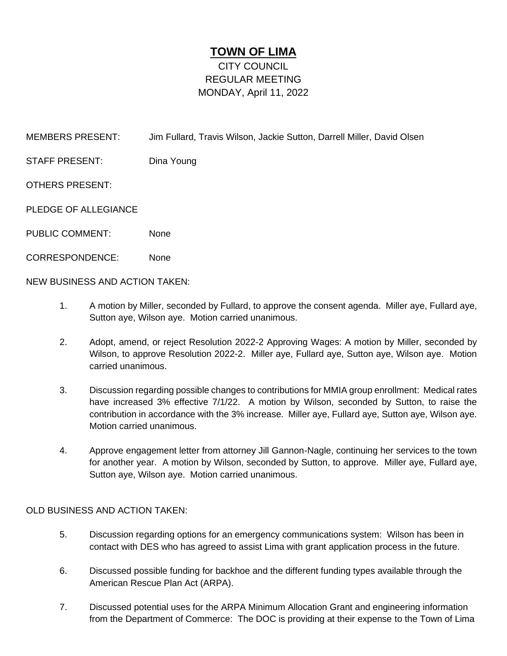## **TOWN OF LIMA**

## CITY COUNCIL REGULAR MEETING MONDAY, April 11, 2022

MEMBERS PRESENT: Jim Fullard, Travis Wilson, Jackie Sutton, Darrell Miller, David Olsen

STAFF PRESENT: Dina Young

OTHERS PRESENT:

PLEDGE OF ALLEGIANCE

- PUBLIC COMMENT: None
- CORRESPONDENCE: None

NEW BUSINESS AND ACTION TAKEN:

- 1. A motion by Miller, seconded by Fullard, to approve the consent agenda. Miller aye, Fullard aye, Sutton aye, Wilson aye. Motion carried unanimous.
- 2. Adopt, amend, or reject Resolution 2022-2 Approving Wages: A motion by Miller, seconded by Wilson, to approve Resolution 2022-2. Miller aye, Fullard aye, Sutton aye, Wilson aye. Motion carried unanimous.
- 3. Discussion regarding possible changes to contributions for MMIA group enrollment: Medical rates have increased 3% effective 7/1/22. A motion by Wilson, seconded by Sutton, to raise the contribution in accordance with the 3% increase. Miller aye, Fullard aye, Sutton aye, Wilson aye. Motion carried unanimous.
- 4. Approve engagement letter from attorney Jill Gannon-Nagle, continuing her services to the town for another year. A motion by Wilson, seconded by Sutton, to approve. Miller aye, Fullard aye, Sutton aye, Wilson aye. Motion carried unanimous.

## OLD BUSINESS AND ACTION TAKEN:

- 5. Discussion regarding options for an emergency communications system: Wilson has been in contact with DES who has agreed to assist Lima with grant application process in the future.
- 6. Discussed possible funding for backhoe and the different funding types available through the American Rescue Plan Act (ARPA).
- 7. Discussed potential uses for the ARPA Minimum Allocation Grant and engineering information from the Department of Commerce: The DOC is providing at their expense to the Town of Lima